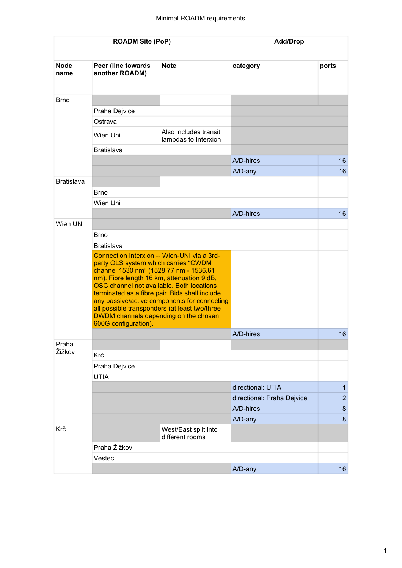| <b>ROADM Site (PoP)</b> |                                                                                                                                                                                                                                                                                                                                                                                                                                              |                                               | <b>Add/Drop</b>            |                |
|-------------------------|----------------------------------------------------------------------------------------------------------------------------------------------------------------------------------------------------------------------------------------------------------------------------------------------------------------------------------------------------------------------------------------------------------------------------------------------|-----------------------------------------------|----------------------------|----------------|
| <b>Node</b><br>name     | Peer (line towards<br>another ROADM)                                                                                                                                                                                                                                                                                                                                                                                                         | <b>Note</b>                                   | category                   | ports          |
| <b>Brno</b>             |                                                                                                                                                                                                                                                                                                                                                                                                                                              |                                               |                            |                |
|                         | Praha Dejvice                                                                                                                                                                                                                                                                                                                                                                                                                                |                                               |                            |                |
|                         | Ostrava                                                                                                                                                                                                                                                                                                                                                                                                                                      |                                               |                            |                |
|                         | Wien Uni                                                                                                                                                                                                                                                                                                                                                                                                                                     | Also includes transit<br>lambdas to Interxion |                            |                |
|                         | <b>Bratislava</b>                                                                                                                                                                                                                                                                                                                                                                                                                            |                                               |                            |                |
|                         |                                                                                                                                                                                                                                                                                                                                                                                                                                              |                                               | A/D-hires                  | 16             |
|                         |                                                                                                                                                                                                                                                                                                                                                                                                                                              |                                               | A/D-any                    | 16             |
| <b>Bratislava</b>       |                                                                                                                                                                                                                                                                                                                                                                                                                                              |                                               |                            |                |
|                         | <b>Brno</b>                                                                                                                                                                                                                                                                                                                                                                                                                                  |                                               |                            |                |
|                         | Wien Uni                                                                                                                                                                                                                                                                                                                                                                                                                                     |                                               |                            |                |
|                         |                                                                                                                                                                                                                                                                                                                                                                                                                                              |                                               | A/D-hires                  | 16             |
| Wien UNI                |                                                                                                                                                                                                                                                                                                                                                                                                                                              |                                               |                            |                |
|                         | <b>Brno</b>                                                                                                                                                                                                                                                                                                                                                                                                                                  |                                               |                            |                |
|                         | <b>Bratislava</b>                                                                                                                                                                                                                                                                                                                                                                                                                            |                                               |                            |                |
|                         | Connection Interxion -- Wien-UNI via a 3rd-<br>party OLS system which carries "CWDM<br>channel 1530 nm" (1528.77 nm - 1536.61<br>nm). Fibre length 16 km, attenuation 9 dB,<br>OSC channel not available. Both locations<br>terminated as a fibre pair. Bids shall include<br>any passive/active components for connecting<br>all possible transponders (at least two/three<br>DWDM channels depending on the chosen<br>600G configuration). |                                               |                            |                |
|                         |                                                                                                                                                                                                                                                                                                                                                                                                                                              |                                               | A/D-hires                  | 16             |
| Praha<br>Žižkov         |                                                                                                                                                                                                                                                                                                                                                                                                                                              |                                               |                            |                |
|                         | Krč                                                                                                                                                                                                                                                                                                                                                                                                                                          |                                               |                            |                |
|                         | Praha Dejvice                                                                                                                                                                                                                                                                                                                                                                                                                                |                                               |                            |                |
|                         | <b>UTIA</b>                                                                                                                                                                                                                                                                                                                                                                                                                                  |                                               |                            |                |
|                         |                                                                                                                                                                                                                                                                                                                                                                                                                                              |                                               | directional: UTIA          | $\mathbf{1}$   |
|                         |                                                                                                                                                                                                                                                                                                                                                                                                                                              |                                               | directional: Praha Dejvice | $\overline{2}$ |
|                         |                                                                                                                                                                                                                                                                                                                                                                                                                                              |                                               | A/D-hires                  | $\bf 8$        |
|                         |                                                                                                                                                                                                                                                                                                                                                                                                                                              |                                               | A/D-any                    | 8              |
| Krč                     |                                                                                                                                                                                                                                                                                                                                                                                                                                              | West/East split into<br>different rooms       |                            |                |
|                         | Praha Žižkov                                                                                                                                                                                                                                                                                                                                                                                                                                 |                                               |                            |                |
|                         | Vestec                                                                                                                                                                                                                                                                                                                                                                                                                                       |                                               |                            |                |
|                         |                                                                                                                                                                                                                                                                                                                                                                                                                                              |                                               | A/D-any                    | 16             |